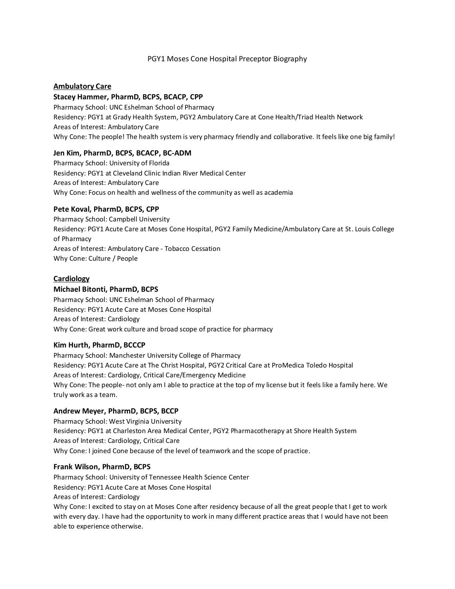## PGY1 Moses Cone Hospital Preceptor Biography

## **Ambulatory Care**

### **Stacey Hammer, PharmD, BCPS, BCACP, CPP**

Pharmacy School: UNC Eshelman School of Pharmacy Residency: PGY1 at Grady Health System, PGY2 Ambulatory Care at Cone Health/Triad Health Network Areas of Interest: Ambulatory Care Why Cone: The people! The health system is very pharmacy friendly and collaborative. It feels like one big family!

## **Jen Kim, PharmD, BCPS, BCACP, BC-ADM**

Pharmacy School: University of Florida Residency: PGY1 at Cleveland Clinic Indian River Medical Center Areas of Interest: Ambulatory Care Why Cone: Focus on health and wellness of the community as well as academia

### **Pete Koval, PharmD, BCPS, CPP**

Pharmacy School: Campbell University Residency: PGY1 Acute Care at Moses Cone Hospital, PGY2 Family Medicine/Ambulatory Care at St. Louis College of Pharmacy Areas of Interest: Ambulatory Care - Tobacco Cessation Why Cone: Culture / People

## **Cardiology**

## **Michael Bitonti, PharmD, BCPS**

Pharmacy School: UNC Eshelman School of Pharmacy Residency: PGY1 Acute Care at Moses Cone Hospital Areas of Interest: Cardiology Why Cone: Great work culture and broad scope of practice for pharmacy

### **Kim Hurth, PharmD, BCCCP**

Pharmacy School: Manchester University College of Pharmacy Residency: PGY1 Acute Care at The Christ Hospital, PGY2 Critical Care at ProMedica Toledo Hospital Areas of Interest: Cardiology, Critical Care/Emergency Medicine Why Cone: The people- not only am I able to practice at the top of my license but it feels like a family here. We truly work as a team.

# **Andrew Meyer, PharmD, BCPS, BCCP**

Pharmacy School: West Virginia University Residency: PGY1 at Charleston Area Medical Center, PGY2 Pharmacotherapy at Shore Health System Areas of Interest: Cardiology, Critical Care Why Cone: I joined Cone because of the level of teamwork and the scope of practice.

### **Frank Wilson, PharmD, BCPS**

Pharmacy School: University of Tennessee Health Science Center Residency: PGY1 Acute Care at Moses Cone Hospital Areas of Interest: Cardiology

Why Cone: I excited to stay on at Moses Cone after residency because of all the great people that I get to work with every day. I have had the opportunity to work in many different practice areas that I would have not been able to experience otherwise.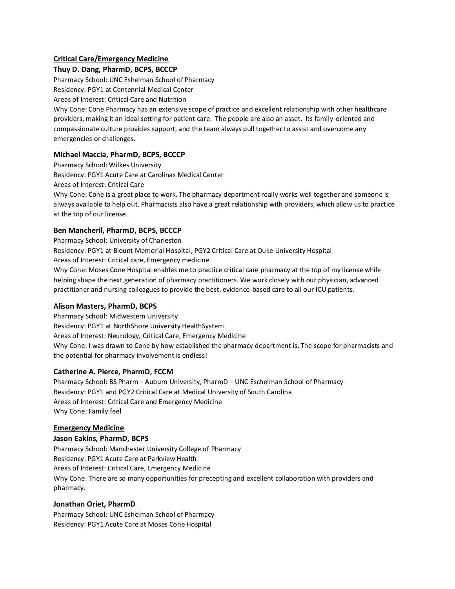# **Critical Care/Emergency Medicine**

## **Thuy D. Dang, PharmD, BCPS, BCCCP**

Pharmacy School: UNC Eshelman School of Pharmacy

Residency: PGY1 at Centennial Medical Center

Areas of Interest: Critical Care and Nutrition

Why Cone: Cone Pharmacy has an extensive scope of practice and excellent relationship with other healthcare providers, making it an ideal setting for patient care. The people are also an asset. Its family-oriented and compassionate culture provides support, and the team always pull together to assist and overcome any emergencies or challenges.

# **Michael Maccia, PharmD, BCPS, BCCCP**

Pharmacy School: Wilkes University Residency: PGY1 Acute Care at Carolinas Medical Center Areas of Interest: Critical Care Why Cone: Cone is a great place to work. The pharmacy department really works well together and someone is always available to help out. Pharmacists also have a great relationship with providers, which allow us to practice at the top of our license.

## **Ben Mancheril, PharmD, BCPS, BCCCP**

Pharmacy School: University of Charleston

Residency: PGY1 at Blount Memorial Hospital, PGY2 Critical Care at Duke University Hospital Areas of Interest: Critical care, Emergency medicine

Why Cone: Moses Cone Hospital enables me to practice critical care pharmacy at the top of my license while helping shape the next generation of pharmacy practitioners. We work closely with our physician, advanced practitioner and nursing colleagues to provide the best, evidence-based care to all our ICU patients.

### **Alison Masters, PharmD, BCPS**

Pharmacy School: Midwestern University Residency: PGY1 at NorthShore University HealthSystem Areas of Interest: Neurology, Critical Care, Emergency Medicine Why Cone: I was drawn to Cone by how established the pharmacy department is. The scope for pharmacists and the potential for pharmacy involvement is endless!

### **Catherine A. Pierce, PharmD, FCCM**

Pharmacy School: BS Pharm – Auburn University, PharmD – UNC Eschelman School of Pharmacy Residency: PGY1 and PGY2 Critical Care at Medical University of South Carolina Areas of Interest: Critical Care and Emergency Medicine Why Cone: Family feel

### **Emergency Medicine**

### **Jason Eakins, PharmD, BCPS**

Pharmacy School: Manchester University College of Pharmacy Residency: PGY1 Acute Care at Parkview Health Areas of Interest: Critical Care, Emergency Medicine Why Cone: There are so many opportunities for precepting and excellent collaboration with providers and pharmacy.

### **Jonathan Oriet, PharmD**

Pharmacy School: UNC Eshelman School of Pharmacy Residency: PGY1 Acute Care at Moses Cone Hospital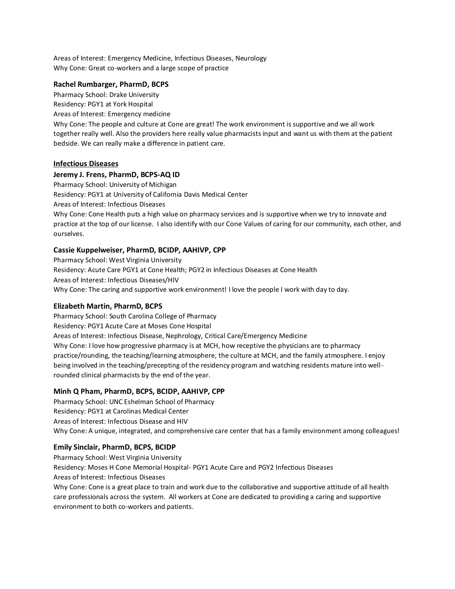Areas of Interest: Emergency Medicine, Infectious Diseases, Neurology Why Cone: Great co-workers and a large scope of practice

## **Rachel Rumbarger, PharmD, BCPS**

Pharmacy School: Drake University Residency: PGY1 at York Hospital Areas of Interest: Emergency medicine

Why Cone: The people and culture at Cone are great! The work environment is supportive and we all work together really well. Also the providers here really value pharmacists input and want us with them at the patient bedside. We can really make a difference in patient care.

## **Infectious Diseases**

## **Jeremy J. Frens, PharmD, BCPS-AQ ID**

Pharmacy School: University of Michigan Residency: PGY1 at University of California Davis Medical Center Areas of Interest: Infectious Diseases Why Cone: Cone Health puts a high value on pharmacy services and is supportive when we try to innovate and practice at the top of our license. I also identify with our Cone Values of caring for our community, each other, and ourselves.

# **Cassie Kuppelweiser, PharmD, BCIDP, AAHIVP, CPP**

Pharmacy School: West Virginia University Residency: Acute Care PGY1 at Cone Health; PGY2 in Infectious Diseases at Cone Health Areas of Interest: Infectious Diseases/HIV Why Cone: The caring and supportive work environment! I love the people I work with day to day.

### **Elizabeth Martin, PharmD, BCPS**

Pharmacy School: South Carolina College of Pharmacy Residency: PGY1 Acute Care at Moses Cone Hospital Areas of Interest: Infectious Disease, Nephrology, Critical Care/Emergency Medicine Why Cone: I love how progressive pharmacy is at MCH, how receptive the physicians are to pharmacy practice/rounding, the teaching/learning atmosphere, the culture at MCH, and the family atmosphere. I enjoy being involved in the teaching/precepting of the residency program and watching residents mature into wellrounded clinical pharmacists by the end of the year.

# **Minh Q Pham, PharmD, BCPS, BCIDP, AAHIVP, CPP**

Pharmacy School: UNC Eshelman School of Pharmacy Residency: PGY1 at Carolinas Medical Center Areas of Interest: Infectious Disease and HIV Why Cone: A unique, integrated, and comprehensive care center that has a family environment among colleagues!

### **Emily Sinclair, PharmD, BCPS, BCIDP**

Pharmacy School: West Virginia University

Residency: Moses H Cone Memorial Hospital- PGY1 Acute Care and PGY2 Infectious Diseases Areas of Interest: Infectious Diseases

Why Cone: Cone is a great place to train and work due to the collaborative and supportive attitude of all health care professionals across the system. All workers at Cone are dedicated to providing a caring and supportive environment to both co-workers and patients.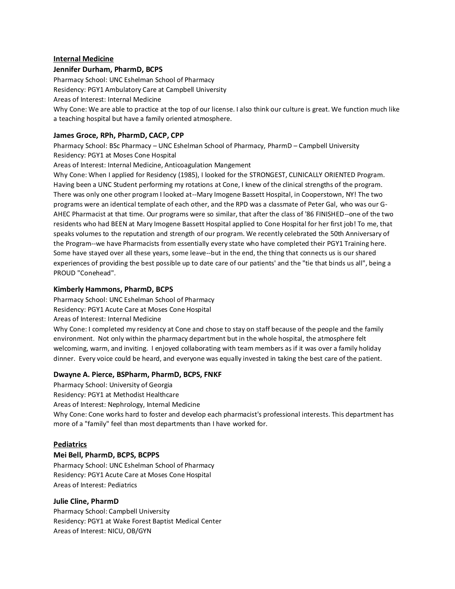### **Internal Medicine**

### **Jennifer Durham, PharmD, BCPS**

Pharmacy School: UNC Eshelman School of Pharmacy Residency: PGY1 Ambulatory Care at Campbell University Areas of Interest: Internal Medicine Why Cone: We are able to practice at the top of our license. I also think our culture is great. We function much like a teaching hospital but have a family oriented atmosphere.

## **James Groce, RPh, PharmD, CACP, CPP**

Pharmacy School: BSc Pharmacy – UNC Eshelman School of Pharmacy, PharmD – Campbell University Residency: PGY1 at Moses Cone Hospital

Areas of Interest: Internal Medicine, Anticoagulation Mangement

Why Cone: When I applied for Residency (1985), I looked for the STRONGEST, CLINICALLY ORIENTED Program. Having been a UNC Student performing my rotations at Cone, I knew of the clinical strengths of the program. There was only one other program I looked at--Mary Imogene Bassett Hospital, in Cooperstown, NY! The two programs were an identical template of each other, and the RPD was a classmate of Peter Gal, who was our G-AHEC Pharmacist at that time. Our programs were so similar, that after the class of '86 FINISHED--one of the two residents who had BEEN at Mary Imogene Bassett Hospital applied to Cone Hospital for her first job! To me, that speaks volumes to the reputation and strength of our program. We recently celebrated the 50th Anniversary of the Program--we have Pharmacists from essentially every state who have completed their PGY1 Training here. Some have stayed over all these years, some leave--but in the end, the thing that connects us is our shared experiences of providing the best possible up to date care of our patients' and the "tie that binds us all", being a PROUD "Conehead".

## **Kimberly Hammons, PharmD, BCPS**

Pharmacy School: UNC Eshelman School of Pharmacy Residency: PGY1 Acute Care at Moses Cone Hospital

Areas of Interest: Internal Medicine

Why Cone: I completed my residency at Cone and chose to stay on staff because of the people and the family environment. Not only within the pharmacy department but in the whole hospital, the atmosphere felt welcoming, warm, and inviting. I enjoyed collaborating with team members as if it was over a family holiday dinner. Every voice could be heard, and everyone was equally invested in taking the best care of the patient.

### **Dwayne A. Pierce, BSPharm, PharmD, BCPS, FNKF**

Pharmacy School: University of Georgia Residency: PGY1 at Methodist Healthcare Areas of Interest: Nephrology, Internal Medicine Why Cone: Cone works hard to foster and develop each pharmacist's professional interests. This department has more of a "family" feel than most departments than I have worked for.

### **Pediatrics**

### **Mei Bell, PharmD, BCPS, BCPPS**

Pharmacy School: UNC Eshelman School of Pharmacy Residency: PGY1 Acute Care at Moses Cone Hospital Areas of Interest: Pediatrics

### **Julie Cline, PharmD**

Pharmacy School: Campbell University Residency: PGY1 at Wake Forest Baptist Medical Center Areas of Interest: NICU, OB/GYN